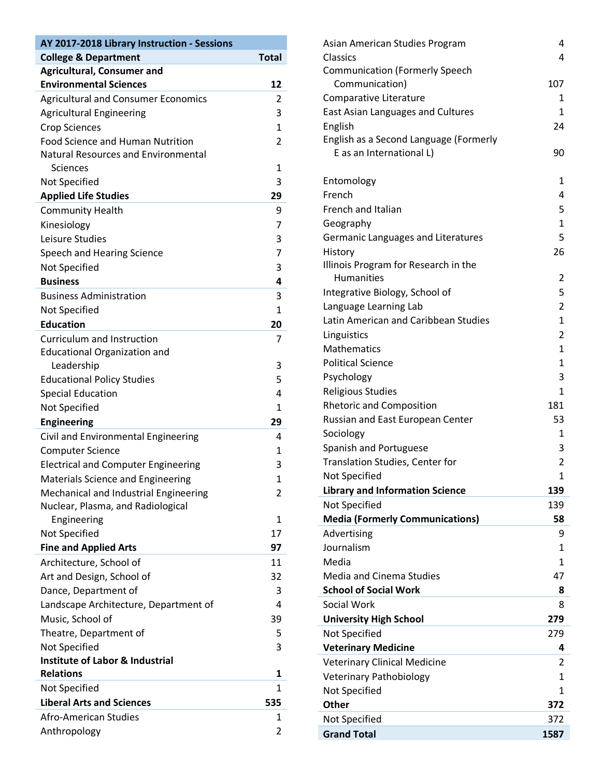| AY 2017-2018 Library Instruction - Sessions                 |                | Asian American Studies Program         | 4                       |
|-------------------------------------------------------------|----------------|----------------------------------------|-------------------------|
| <b>College &amp; Department</b>                             | <b>Total</b>   | Classics                               | 4                       |
| <b>Agricultural, Consumer and</b>                           |                | <b>Communication (Formerly Speech</b>  |                         |
| <b>Environmental Sciences</b>                               | 12             | Communication)                         | 107                     |
| <b>Agricultural and Consumer Economics</b>                  | $\overline{2}$ | Comparative Literature                 | 1                       |
| <b>Agricultural Engineering</b>                             | 3              | East Asian Languages and Cultures      | 1                       |
| <b>Crop Sciences</b>                                        | 1              | English                                | 24                      |
| <b>Food Science and Human Nutrition</b>                     | $\overline{2}$ | English as a Second Language (Formerly |                         |
| Natural Resources and Environmental                         |                | E as an International L)               | 90                      |
| Sciences                                                    | 1              |                                        |                         |
| Not Specified                                               | 3              | Entomology                             | 1                       |
| <b>Applied Life Studies</b>                                 | 29             | French                                 | 4                       |
| <b>Community Health</b>                                     | 9              | French and Italian                     | 5                       |
| Kinesiology                                                 | 7              | Geography                              |                         |
| Leisure Studies                                             | 3              | Germanic Languages and Literatures     | 5                       |
| Speech and Hearing Science                                  | 7              | History                                | 26                      |
| Not Specified                                               | 3              | Illinois Program for Research in the   |                         |
| <b>Business</b>                                             | 4              | Humanities                             | $\overline{c}$          |
| <b>Business Administration</b>                              | 3              | Integrative Biology, School of         | 5                       |
| Not Specified                                               | 1              | Language Learning Lab                  | $\overline{c}$          |
| <b>Education</b>                                            | 20             | Latin American and Caribbean Studies   | 1                       |
| Curriculum and Instruction                                  | $\overline{7}$ | Linguistics                            | 2                       |
| <b>Educational Organization and</b>                         |                | Mathematics                            | 1                       |
| Leadership                                                  | 3              | <b>Political Science</b>               | $\mathbf{1}$            |
| <b>Educational Policy Studies</b>                           | 5              | Psychology                             | 3                       |
| <b>Special Education</b>                                    | 4              | <b>Religious Studies</b>               | $\mathbf{1}$            |
| Not Specified                                               | 1              | <b>Rhetoric and Composition</b>        | 181                     |
| <b>Engineering</b>                                          | 29             | Russian and East European Center       | 53                      |
| Civil and Environmental Engineering                         | 4              | Sociology                              | 1                       |
| <b>Computer Science</b>                                     | 1              | Spanish and Portuguese                 | 3                       |
| <b>Electrical and Computer Engineering</b>                  | 3              | Translation Studies, Center for        | 2                       |
| Materials Science and Engineering                           | 1              | Not Specified                          | 1                       |
| Mechanical and Industrial Engineering                       | $\overline{2}$ | <b>Library and Information Science</b> | 139                     |
| Nuclear, Plasma, and Radiological                           |                | Not Specified                          | 139                     |
| Engineering                                                 | $\mathbf{1}$   | <b>Media (Formerly Communications)</b> | 58                      |
| Not Specified                                               | 17             | Advertising                            | 9                       |
| <b>Fine and Applied Arts</b>                                | 97             | Journalism                             | 1                       |
| Architecture, School of                                     | 11             | Media                                  | 1                       |
| Art and Design, School of                                   | 32             | <b>Media and Cinema Studies</b>        | 47                      |
| Dance, Department of                                        | 3              | <b>School of Social Work</b>           | 8                       |
| Landscape Architecture, Department of                       | 4              | Social Work                            | 8                       |
| Music, School of                                            | 39             |                                        | 279                     |
|                                                             |                | <b>University High School</b>          |                         |
| Theatre, Department of                                      | 5              | Not Specified                          | 279                     |
| Not Specified<br><b>Institute of Labor &amp; Industrial</b> | 3              | <b>Veterinary Medicine</b>             | 4                       |
| <b>Relations</b>                                            | 1              | <b>Veterinary Clinical Medicine</b>    | $\overline{\mathbf{c}}$ |
|                                                             | $\mathbf{1}$   | <b>Veterinary Pathobiology</b>         | $\mathbf{1}$            |
| Not Specified                                               |                | Not Specified                          | 1                       |
| <b>Liberal Arts and Sciences</b>                            | 535            | <b>Other</b>                           | 372                     |
| Afro-American Studies                                       | 1              | Not Specified                          | 372                     |
| Anthropology                                                | $\overline{2}$ | <b>Grand Total</b>                     | 1587                    |

| IS             | Asian American Studies Program                | 4                 |
|----------------|-----------------------------------------------|-------------------|
| <b>Total</b>   | Classics                                      | 4                 |
|                | <b>Communication (Formerly Speech</b>         |                   |
| 12             | Communication)                                | 107               |
| 2              | Comparative Literature                        | 1                 |
| 3              | <b>East Asian Languages and Cultures</b>      | $\mathbf{1}$      |
| 1              | English                                       | 24                |
| $\overline{2}$ | English as a Second Language (Formerly        |                   |
|                | E as an International L)                      | 90                |
| $\mathbf{1}$   |                                               |                   |
| 3              | Entomology                                    | $\mathbf{1}$      |
| 29             | French                                        | 4                 |
| 9              | French and Italian                            | 5<br>$\mathbf{1}$ |
| 7              | Geography                                     | 5                 |
| 3              | Germanic Languages and Literatures<br>History | 26                |
| 7              | Illinois Program for Research in the          |                   |
| 3<br>4         | <b>Humanities</b>                             | $\overline{2}$    |
| 3              | Integrative Biology, School of                | 5                 |
| $\mathbf{1}$   | Language Learning Lab                         | $\overline{2}$    |
| 20             | Latin American and Caribbean Studies          | $\mathbf{1}$      |
| 7              | Linguistics                                   | $\overline{2}$    |
|                | <b>Mathematics</b>                            | $\mathbf{1}$      |
| 3              | <b>Political Science</b>                      | $\mathbf{1}$      |
| 5              | Psychology                                    | 3                 |
| 4              | <b>Religious Studies</b>                      | $\mathbf{1}$      |
| 1              | <b>Rhetoric and Composition</b>               | 181               |
| 29             | Russian and East European Center              | 53                |
| 4              | Sociology                                     | 1                 |
| $\mathbf{1}$   | Spanish and Portuguese                        | 3                 |
| 3              | Translation Studies, Center for               | $\overline{2}$    |
| 1              | <b>Not Specified</b>                          | $\mathbf{1}$      |
| $\overline{2}$ | <b>Library and Information Science</b>        | 139               |
|                | Not Specified                                 | 139               |
| 1              | <b>Media (Formerly Communications)</b>        | 58                |
| 17             | Advertising                                   | 9                 |
| 97             | Journalism                                    | $\mathbf{1}$      |
| 11             | Media                                         | $\mathbf{1}$      |
| 32             | <b>Media and Cinema Studies</b>               | 47                |
| 3              | <b>School of Social Work</b>                  | 8                 |
| 4              | Social Work                                   | 8                 |
| 39             | <b>University High School</b>                 | 279               |
| 5              | Not Specified                                 | 279               |
| 3              | <b>Veterinary Medicine</b>                    | 4                 |
|                | <b>Veterinary Clinical Medicine</b>           | 2                 |
| 1              | <b>Veterinary Pathobiology</b>                | 1                 |
| 1              | Not Specified                                 | 1                 |
| 535            | Other                                         | 372               |
| 1              | Not Specified                                 | 372               |
| $\overline{2}$ | <b>Grand Total</b>                            | 1587              |